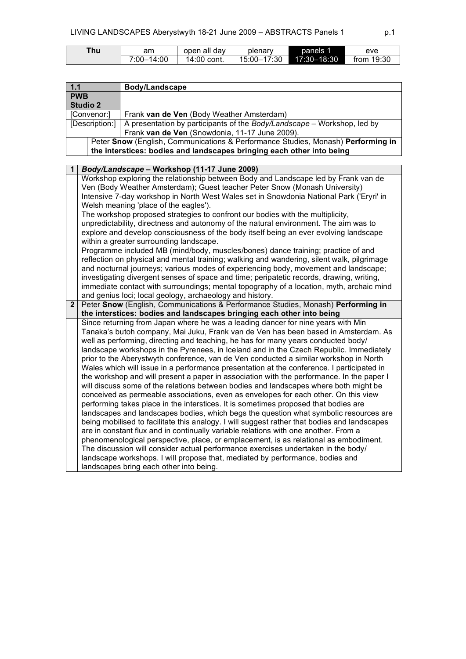| ™hu | am         | open all day | plenary     | panels 1    | eve          |
|-----|------------|--------------|-------------|-------------|--------------|
|     | 7:00-14:00 | 14:00 cont.  | 15:00-17:30 | 17:30-18:30 | from $19:30$ |

| $1.1$ |                                                                                                                                                                           | <b>Body/Landscape</b>                                                                        |  |
|-------|---------------------------------------------------------------------------------------------------------------------------------------------------------------------------|----------------------------------------------------------------------------------------------|--|
|       | <b>PWB</b>                                                                                                                                                                |                                                                                              |  |
|       | <b>Studio 2</b>                                                                                                                                                           |                                                                                              |  |
|       | [Convenor:]                                                                                                                                                               | Frank van de Ven (Body Weather Amsterdam)                                                    |  |
|       | [Description:]                                                                                                                                                            | A presentation by participants of the Body/Landscape - Workshop, led by                      |  |
|       | Frank van de Ven (Snowdonia, 11-17 June 2009).<br>Peter Snow (English, Communications & Performance Studies, Monash) Performing in                                        |                                                                                              |  |
|       |                                                                                                                                                                           | the interstices: bodies and landscapes bringing each other into being                        |  |
|       |                                                                                                                                                                           |                                                                                              |  |
| 1     |                                                                                                                                                                           | Body/Landscape - Workshop (11-17 June 2009)                                                  |  |
|       |                                                                                                                                                                           | Workshop exploring the relationship between Body and Landscape led by Frank van de           |  |
|       |                                                                                                                                                                           | Ven (Body Weather Amsterdam); Guest teacher Peter Snow (Monash University)                   |  |
|       |                                                                                                                                                                           | Intensive 7-day workshop in North West Wales set in Snowdonia National Park ('Eryri' in      |  |
|       |                                                                                                                                                                           | Welsh meaning 'place of the eagles').                                                        |  |
|       |                                                                                                                                                                           | The workshop proposed strategies to confront our bodies with the multiplicity,               |  |
|       |                                                                                                                                                                           | unpredictability, directness and autonomy of the natural environment. The aim was to         |  |
|       |                                                                                                                                                                           | explore and develop consciousness of the body itself being an ever evolving landscape        |  |
|       |                                                                                                                                                                           | within a greater surrounding landscape.                                                      |  |
|       |                                                                                                                                                                           | Programme included MB (mind/body, muscles/bones) dance training; practice of and             |  |
|       |                                                                                                                                                                           | reflection on physical and mental training; walking and wandering, silent walk, pilgrimage   |  |
|       |                                                                                                                                                                           | and nocturnal journeys; various modes of experiencing body, movement and landscape;          |  |
|       |                                                                                                                                                                           | investigating divergent senses of space and time; peripatetic records, drawing, writing,     |  |
|       |                                                                                                                                                                           | immediate contact with surroundings; mental topography of a location, myth, archaic mind     |  |
|       |                                                                                                                                                                           | and genius loci; local geology, archaeology and history.                                     |  |
|       | Peter Snow (English, Communications & Performance Studies, Monash) Performing in<br>$\mathbf{2}$<br>the interstices: bodies and landscapes bringing each other into being |                                                                                              |  |
|       |                                                                                                                                                                           | Since returning from Japan where he was a leading dancer for nine years with Min             |  |
|       |                                                                                                                                                                           | Tanaka's butoh company, Mai Juku, Frank van de Ven has been based in Amsterdam. As           |  |
|       |                                                                                                                                                                           | well as performing, directing and teaching, he has for many years conducted body/            |  |
|       |                                                                                                                                                                           | landscape workshops in the Pyrenees, in Iceland and in the Czech Republic. Immediately       |  |
|       |                                                                                                                                                                           | prior to the Aberystwyth conference, van de Ven conducted a similar workshop in North        |  |
|       |                                                                                                                                                                           | Wales which will issue in a performance presentation at the conference. I participated in    |  |
|       |                                                                                                                                                                           | the workshop and will present a paper in association with the performance. In the paper I    |  |
|       |                                                                                                                                                                           | will discuss some of the relations between bodies and landscapes where both might be         |  |
|       |                                                                                                                                                                           | conceived as permeable associations, even as envelopes for each other. On this view          |  |
|       |                                                                                                                                                                           | performing takes place in the interstices. It is sometimes proposed that bodies are          |  |
|       |                                                                                                                                                                           | landscapes and landscapes bodies, which begs the question what symbolic resources are        |  |
|       |                                                                                                                                                                           | being mobilised to facilitate this analogy. I will suggest rather that bodies and landscapes |  |
|       |                                                                                                                                                                           | are in constant flux and in continually variable relations with one another. From a          |  |
|       |                                                                                                                                                                           | phenomenological perspective, place, or emplacement, is as relational as embodiment.         |  |
|       |                                                                                                                                                                           | The discussion will consider actual performance exercises undertaken in the body/            |  |
|       |                                                                                                                                                                           | landscape workshops. I will propose that, mediated by performance, bodies and                |  |
|       |                                                                                                                                                                           | landscapes bring each other into being.                                                      |  |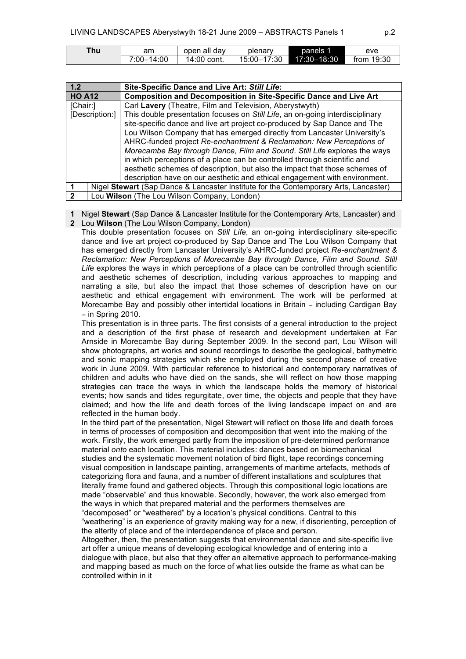| ™nu | am                   | open all day | plenary               | panels 1    | eve          |
|-----|----------------------|--------------|-----------------------|-------------|--------------|
|     | $-14:00$<br>$7:00 -$ | 14:00 cont.  | $-17:30$<br>$15:00-.$ | 17:30-18:30 | from $19:30$ |

| 1.2           |                                                                                      | Site-Specific Dance and Live Art: Still Life:                                 |  |  |
|---------------|--------------------------------------------------------------------------------------|-------------------------------------------------------------------------------|--|--|
| <b>HO A12</b> |                                                                                      | <b>Composition and Decomposition in Site-Specific Dance and Live Art</b>      |  |  |
| [Chair:]      |                                                                                      | Carl Lavery (Theatre, Film and Television, Aberystwyth)                       |  |  |
|               | [Description:]                                                                       | This double presentation focuses on Still Life, an on-going interdisciplinary |  |  |
|               |                                                                                      | site-specific dance and live art project co-produced by Sap Dance and The     |  |  |
|               | Lou Wilson Company that has emerged directly from Lancaster University's             |                                                                               |  |  |
|               | AHRC-funded project Re-enchantment & Reclamation: New Perceptions of                 |                                                                               |  |  |
|               |                                                                                      | Morecambe Bay through Dance, Film and Sound. Still Life explores the ways     |  |  |
|               |                                                                                      | in which perceptions of a place can be controlled through scientific and      |  |  |
|               |                                                                                      | aesthetic schemes of description, but also the impact that those schemes of   |  |  |
|               |                                                                                      | description have on our aesthetic and ethical engagement with environment.    |  |  |
|               | Nigel Stewart (Sap Dance & Lancaster Institute for the Contemporary Arts, Lancaster) |                                                                               |  |  |
|               | Lou Wilson (The Lou Wilson Company, London)                                          |                                                                               |  |  |

**1** Nigel **Stewart** (Sap Dance & Lancaster Institute for the Contemporary Arts, Lancaster) and

**2** Lou **Wilson** (The Lou Wilson Company, London)

This double presentation focuses on *Still Life*, an on-going interdisciplinary site-specific dance and live art project co-produced by Sap Dance and The Lou Wilson Company that has emerged directly from Lancaster University's AHRC-funded project *Re-enchantment & Reclamation: New Perceptions of Morecambe Bay through Dance, Film and Sound*. *Still Life* explores the ways in which perceptions of a place can be controlled through scientific and aesthetic schemes of description, including various approaches to mapping and narrating a site, but also the impact that those schemes of description have on our aesthetic and ethical engagement with environment. The work will be performed at Morecambe Bay and possibly other intertidal locations in Britain − including Cardigan Bay − in Spring 2010.

This presentation is in three parts. The first consists of a general introduction to the project and a description of the first phase of research and development undertaken at Far Arnside in Morecambe Bay during September 2009. In the second part, Lou Wilson will show photographs, art works and sound recordings to describe the geological, bathymetric and sonic mapping strategies which she employed during the second phase of creative work in June 2009. With particular reference to historical and contemporary narratives of children and adults who have died on the sands, she will reflect on how those mapping strategies can trace the ways in which the landscape holds the memory of historical events; how sands and tides regurgitate, over time, the objects and people that they have claimed; and how the life and death forces of the living landscape impact on and are reflected in the human body.

In the third part of the presentation, Nigel Stewart will reflect on those life and death forces in terms of processes of composition and decomposition that went into the making of the work. Firstly, the work emerged partly from the imposition of pre-determined performance material *onto* each location. This material includes: dances based on biomechanical studies and the systematic movement notation of bird flight, tape recordings concerning visual composition in landscape painting, arrangements of maritime artefacts, methods of categorizing flora and fauna, and a number of different installations and sculptures that literally frame found and gathered objects. Through this compositional logic locations are made "observable" and thus knowable. Secondly, however, the work also emerged from the ways in which that prepared material and the performers themselves are "decomposed" or "weathered" by a location's physical conditions. Central to this "weathering" is an experience of gravity making way for a new, if disorienting, perception of

the alterity of place and of the interdependence of place and person.

Altogether, then, the presentation suggests that environmental dance and site-specific live art offer a unique means of developing ecological knowledge and of entering into a dialogue with place, but also that they offer an alternative approach to performance-making and mapping based as much on the force of what lies outside the frame as what can be controlled within in it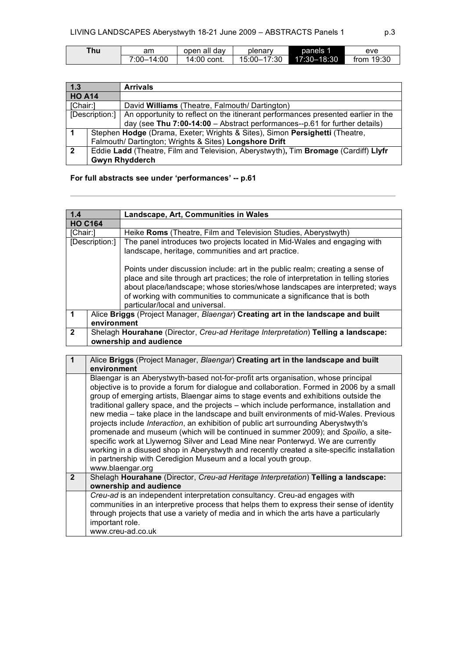| Thu . | am         | open all day | plenary     | panels 1    | eve          |
|-------|------------|--------------|-------------|-------------|--------------|
|       | 7:00–14:00 | 14:00 cont.  | 15:00-17:30 | 17:30-18:30 | from $19:30$ |

| 1.3            |                                                                                     | <b>Arrivals</b>                                                                  |  |  |
|----------------|-------------------------------------------------------------------------------------|----------------------------------------------------------------------------------|--|--|
| <b>HO A14</b>  |                                                                                     |                                                                                  |  |  |
| [Chair:]       |                                                                                     | David Williams (Theatre, Falmouth/Dartington)                                    |  |  |
| [Description:] |                                                                                     | An opportunity to reflect on the itinerant performances presented earlier in the |  |  |
|                |                                                                                     | day (see Thu 7:00-14:00 - Abstract performances--p.61 for further details)       |  |  |
|                | Stephen Hodge (Drama, Exeter; Wrights & Sites), Simon Persighetti (Theatre,         |                                                                                  |  |  |
|                | Falmouth/ Dartington; Wrights & Sites) Longshore Drift                              |                                                                                  |  |  |
| $\overline{2}$ | Eddie Ladd (Theatre, Film and Television, Aberystwyth), Tim Bromage (Cardiff) Llyfr |                                                                                  |  |  |
|                | <b>Gwyn Rhydderch</b>                                                               |                                                                                  |  |  |

## **For full abstracts see under 'performances' -- p.61**

| 1.4            | Landscape, Art, Communities in Wales                                               |                                                                                     |  |
|----------------|------------------------------------------------------------------------------------|-------------------------------------------------------------------------------------|--|
| <b>HO C164</b> |                                                                                    |                                                                                     |  |
| [Chair:]       |                                                                                    | Heike Roms (Theatre, Film and Television Studies, Aberystwyth)                      |  |
|                | [Description:]                                                                     | The panel introduces two projects located in Mid-Wales and engaging with            |  |
|                |                                                                                    | landscape, heritage, communities and art practice.                                  |  |
|                |                                                                                    |                                                                                     |  |
|                |                                                                                    | Points under discussion include: art in the public realm; creating a sense of       |  |
|                |                                                                                    | place and site through art practices; the role of interpretation in telling stories |  |
|                |                                                                                    | about place/landscape; whose stories/whose landscapes are interpreted; ways         |  |
|                |                                                                                    | of working with communities to communicate a significance that is both              |  |
|                |                                                                                    | particular/local and universal.                                                     |  |
|                |                                                                                    | Alice Briggs (Project Manager, Blaengar) Creating art in the landscape and built    |  |
|                | environment                                                                        |                                                                                     |  |
| $\mathbf{2}$   | Shelagh Hourahane (Director, Creu-ad Heritage Interpretation) Telling a landscape: |                                                                                     |  |
|                |                                                                                    | ownership and audience                                                              |  |

| 1              | Alice Briggs (Project Manager, Blaengar) Creating art in the landscape and built<br>environment                                                                                                                                                                                                                                                                                                                                                                                                                                                                                                                                                                                                                                                                                                                                                                                                                             |
|----------------|-----------------------------------------------------------------------------------------------------------------------------------------------------------------------------------------------------------------------------------------------------------------------------------------------------------------------------------------------------------------------------------------------------------------------------------------------------------------------------------------------------------------------------------------------------------------------------------------------------------------------------------------------------------------------------------------------------------------------------------------------------------------------------------------------------------------------------------------------------------------------------------------------------------------------------|
|                | Blaengar is an Aberystwyth-based not-for-profit arts organisation, whose principal<br>objective is to provide a forum for dialogue and collaboration. Formed in 2006 by a small<br>group of emerging artists, Blaengar aims to stage events and exhibitions outside the<br>traditional gallery space, and the projects – which include performance, installation and<br>new media - take place in the landscape and built environments of mid-Wales. Previous<br>projects include <i>Interaction</i> , an exhibition of public art surrounding Aberystwyth's<br>promenade and museum (which will be continued in summer 2009); and Spoilio, a site-<br>specific work at Llywernog Silver and Lead Mine near Ponterwyd. We are currently<br>working in a disused shop in Aberystwyth and recently created a site-specific installation<br>in partnership with Ceredigion Museum and a local youth group.<br>www.blaengar.org |
| $\overline{2}$ | Shelagh Hourahane (Director, Creu-ad Heritage Interpretation) Telling a landscape:<br>ownership and audience                                                                                                                                                                                                                                                                                                                                                                                                                                                                                                                                                                                                                                                                                                                                                                                                                |
|                | Creu-ad is an independent interpretation consultancy. Creu-ad engages with<br>communities in an interpretive process that helps them to express their sense of identity<br>through projects that use a variety of media and in which the arts have a particularly<br>important role.<br>www.creu-ad.co.uk                                                                                                                                                                                                                                                                                                                                                                                                                                                                                                                                                                                                                   |